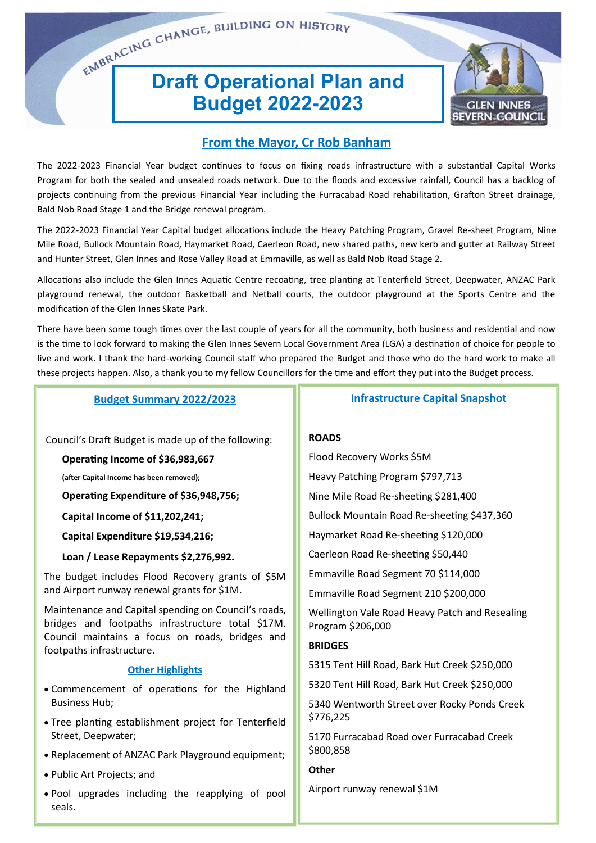# EMBRACING CHANGE, BUILDING ON HISTORY **Budget 2022-2023**



#### **From the Mayor, Cr Rob Banham**

The 2022-2023 Financial Year budget continues to focus on fixing roads infrastructure with a substantial Capital Works Program for both the sealed and unsealed roads network. Due to the floods and excessive rainfall, Council has a backlog of projects continuing from the previous Financial Year including the Furracabad Road rehabilitation, Grafton Street drainage, Bald Nob Road Stage 1 and the Bridge renewal program.

The 2022-2023 Financial Year Capital budget allocations include the Heavy Patching Program, Gravel Re-sheet Program, Nine Mile Road, Bullock Mountain Road, Haymarket Road, Caerleon Road, new shared paths, new kerb and gutter at Railway Street and Hunter Street, Glen Innes and Rose Valley Road at Emmaville, as well as Bald Nob Road Stage 2.

Allocations also include the Glen Innes Aquatic Centre recoating, tree planting at Tenterfield Street, Deepwater, ANZAC Park playground renewal, the outdoor Basketball and Netball courts, the outdoor playground at the Sports Centre and the modification of the Glen Innes Skate Park.

There have been some tough times over the last couple of years for all the community, both business and residential and now is the time to look forward to making the Glen Innes Severn Local Government Area (LGA) a destination of choice for people to live and work. I thank the hard-working Council staff who prepared the Budget and those who do the hard work to make all these projects happen. Also, a thank you to my fellow Councillors for the time and effort they put into the Budget process.

#### **Budget Summary 2022/2023**

Council's Draft Budget is made up of the following:

**Operating Income of \$36,983,667** 

**(after Capital Income has been removed);** 

**Operating Expenditure of \$36,948,756;** 

**Capital Income of \$11,202,241;**

**Capital Expenditure \$19,534,216;**

**Loan / Lease Repayments \$2,276,992.**

The budget includes Flood Recovery grants of \$5M and Airport runway renewal grants for \$1M.

Maintenance and Capital spending on Council's roads, bridges and footpaths infrastructure total \$17M. Council maintains a focus on roads, bridges and footpaths infrastructure.

#### **Other Highlights**

- Commencement of operations for the Highland Business Hub;
- Tree planting establishment project for Tenterfield Street, Deepwater;
- Replacement of ANZAC Park Playground equipment;
- Public Art Projects; and
- Pool upgrades including the reapplying of pool seals.

**Infrastructure Capital Snapshot**

#### **ROADS**

Flood Recovery Works \$5M Heavy Patching Program \$797,713 Nine Mile Road Re-sheeting \$281,400 Bullock Mountain Road Re-sheeting \$437,360 Haymarket Road Re-sheeting \$120,000 Caerleon Road Re-sheeting \$50,440 Emmaville Road Segment 70 \$114,000 Emmaville Road Segment 210 \$200,000 Wellington Vale Road Heavy Patch and Resealing Program \$206,000 **BRIDGES** 5315 Tent Hill Road, Bark Hut Creek \$250,000 5320 Tent Hill Road, Bark Hut Creek \$250,000 5340 Wentworth Street over Rocky Ponds Creek \$776,225 5170 Furracabad Road over Furracabad Creek \$800,858

#### **Other**

Airport runway renewal \$1M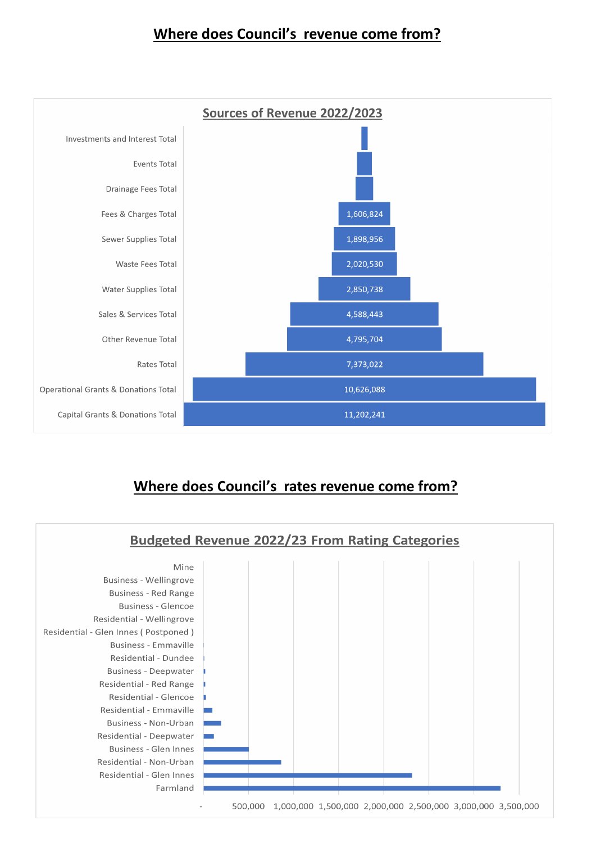## **Where does Council's revenue come from?**



## **Where does Council's rates revenue come from?**

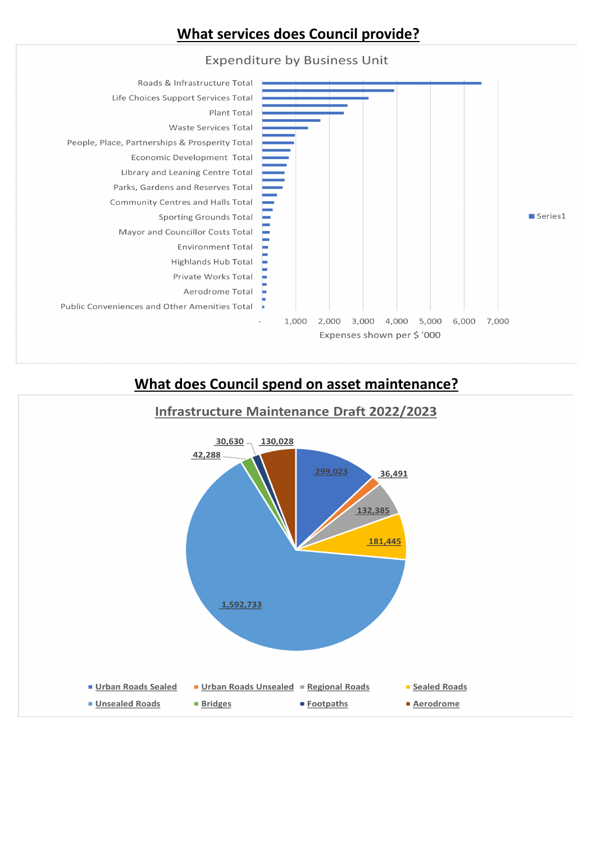## **What services does Council provide?**



## **What does Council spend on asset maintenance?**